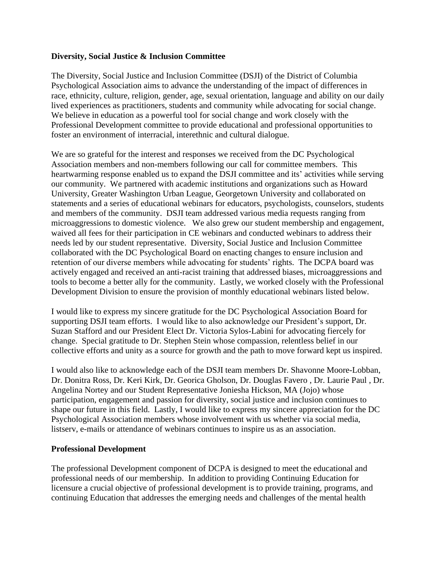## **Diversity, Social Justice & Inclusion Committee**

The Diversity, Social Justice and Inclusion Committee (DSJI) of the District of Columbia Psychological Association aims to advance the understanding of the impact of differences in race, ethnicity, culture, religion, gender, age, sexual orientation, language and ability on our daily lived experiences as practitioners, students and community while advocating for social change. We believe in education as a powerful tool for social change and work closely with the Professional Development committee to provide educational and professional opportunities to foster an environment of interracial, interethnic and cultural dialogue.

We are so grateful for the interest and responses we received from the DC Psychological Association members and non-members following our call for committee members. This heartwarming response enabled us to expand the DSJI committee and its' activities while serving our community. We partnered with academic institutions and organizations such as Howard University, Greater Washington Urban League, Georgetown University and collaborated on statements and a series of educational webinars for educators, psychologists, counselors, students and members of the community. DSJI team addressed various media requests ranging from microaggressions to domestic violence. We also grew our student membership and engagement, waived all fees for their participation in CE webinars and conducted webinars to address their needs led by our student representative. Diversity, Social Justice and Inclusion Committee collaborated with the DC Psychological Board on enacting changes to ensure inclusion and retention of our diverse members while advocating for students' rights. The DCPA board was actively engaged and received an anti-racist training that addressed biases, microaggressions and tools to become a better ally for the community. Lastly, we worked closely with the Professional Development Division to ensure the provision of monthly educational webinars listed below.

I would like to express my sincere gratitude for the DC Psychological Association Board for supporting DSJI team efforts. I would like to also acknowledge our President's support, Dr. Suzan Stafford and our President Elect Dr. Victoria Sylos-Labini for advocating fiercely for change. Special gratitude to Dr. Stephen Stein whose compassion, relentless belief in our collective efforts and unity as a source for growth and the path to move forward kept us inspired.

I would also like to acknowledge each of the DSJI team members Dr. Shavonne Moore-Lobban, Dr. Donitra Ross, Dr. Keri Kirk, Dr. Georica Gholson, Dr. Douglas Favero , Dr. Laurie Paul , Dr. Angelina Nortey and our Student Representative Joniesha Hickson, MA (Jojo) whose participation, engagement and passion for diversity, social justice and inclusion continues to shape our future in this field. Lastly, I would like to express my sincere appreciation for the DC Psychological Association members whose involvement with us whether via social media, listserv, e-mails or attendance of webinars continues to inspire us as an association.

## **Professional Development**

The professional Development component of DCPA is designed to meet the educational and professional needs of our membership. In addition to providing Continuing Education for licensure a crucial objective of professional development is to provide training, programs, and continuing Education that addresses the emerging needs and challenges of the mental health